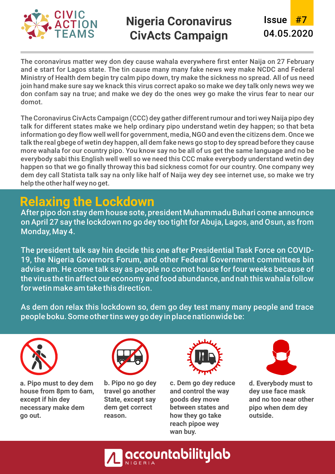

### **Nigeria Coronavirus CivActs Campaign**



The coronavirus matter wey don dey cause wahala everywhere first enter Naija on 27 February and e start for Lagos state. The tin cause many many fake news wey make NCDC and Federal Ministry of Health dem begin try calm pipo down, try make the sickness no spread. All of us need join hand make sure say we knack this virus correct apako so make we dey talk only news wey we don confam say na true; and make we dey do the ones wey go make the virus fear to near our domot.

The Coronavirus CivActs Campaign (CCC) dey gather different rumour and tori wey Naija pipo dey talk for different states make we help ordinary pipo understand wetin dey happen; so that beta information go dey flow well well for government, media, NGO and even the citizens dem. Once we talk the real gbege of wetin dey happen, all dem fake news go stop to dey spread before they cause more wahala for our country pipo. You know say no be all of us get the same language and no be everybody sabi this English well well so we need this CCC make everybody understand wetin dey happen so that we go finally throway this bad sickness comot for our country. One company wey dem dey call Statista talk say na only like half of Naija wey dey see internet use, so make we try help the other half wey no get.

## **Relaxing the Lockdown**

After pipo don stay dem house sote, president Muhammadu Buhari come announce on April 27 say the lockdown no go dey too tight for Abuja, Lagos, and Osun, as from Monday, May 4.

The president talk say hin decide this one after Presidential Task Force on COVID-19, the Nigeria Governors Forum, and other Federal Government committees bin advise am. He come talk say as people no comot house for four weeks because of the virus the tin affect our economy and food abundance, and nah this wahala follow for wetin make am take this direction.

As dem don relax this lockdown so, dem go dey test many many people and trace people boku. Some other tins wey go dey in place nationwide be:



**a. Pipo must to dey dem house from 8pm to 6am, except if hin dey necessary make dem go out.** 



**b. Pipo no go dey travel go another State, except say dem get correct reason.**



**c. Dem go dey reduce and control the way goods dey move between states and how they go take reach pipoe wey wan buy.** 



**d. Everybody must to dey use face mask and no too near other pipo when dem dey outside.** 

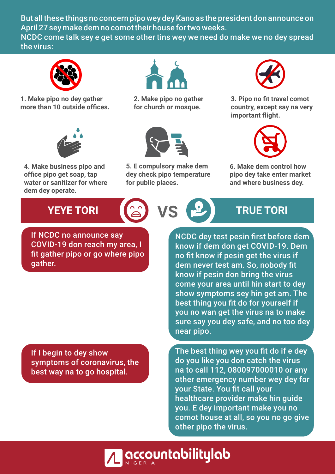But all these things no concern pipo wey dey Kano as the president don announce on April 27 sey make dem no comot their house for two weeks. NCDC come talk sey e get some other tins wey we need do make we no dey spread the virus:



**1. Make pipo no dey gather more than 10 outside offices.**



**2. Make pipo no gather for church or mosque.**



**4. Make business pipo and office pipo get soap, tap water or sanitizer for where dem dey operate.**



**5. E compulsory make dem dey check pipo temperature for public places.** 



**3. Pipo no fit travel comot country, except say na very important flight.**



**6. Make dem control how pipo dey take enter market and where business dey.** 

If NCDC no announce say COVID-19 don reach my area, I fit gather pipo or go where pipo gather.

# **YEYE TORI (a) VS P TRUE TORI**

NCDC dey test pesin first before dem know if dem don get COVID-19. Dem no fit know if pesin get the virus if dem never test am. So, nobody fit know if pesin don bring the virus come your area until hin start to dey show symptoms sey hin get am. The best thing you fit do for yourself if you no wan get the virus na to make sure say you dey safe, and no too dey near pipo.

If I begin to dey show symptoms of coronavirus, the best way na to go hospital.

The best thing wey you fit do if e dey do you like you don catch the virus na to call 112, 080097000010 or any other emergency number wey dey for your State. You fit call your healthcare provider make hin guide you. E dey important make you no comot house at all, so you no go give other pipo the virus.

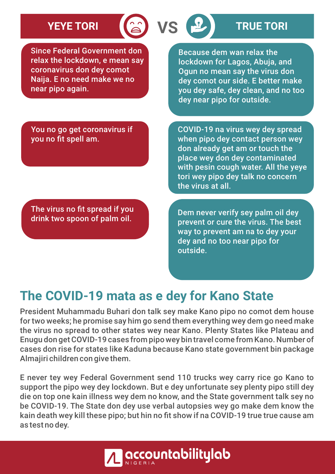# **YEYE TORI TRUE TORI**

Since Federal Government don relax the lockdown, e mean say coronavirus don dey comot Naija. E no need make we no near pipo again.

Because dem wan relax the lockdown for Lagos, Abuja, and Ogun no mean say the virus don dey comot our side. E better make you dey safe, dey clean, and no too dey near pipo for outside.

You no go get coronavirus if you no fit spell am.

COVID-19 na virus wey dey spread when pipo dey contact person wey don already get am or touch the place wey don dey contaminated with pesin cough water. All the yeye tori wey pipo dey talk no concern the virus at all.

The virus no fit spread if you drink two spoon of palm oil.

Dem never verify sey palm oil dey prevent or cure the virus. The best way to prevent am na to dey your dey and no too near pipo for outside.

### **The COVID-19 mata as e dey for Kano State**

President Muhammadu Buhari don talk sey make Kano pipo no comot dem house for two weeks; he promise say him go send them everything wey dem go need make the virus no spread to other states wey near Kano. Plenty States like Plateau and Enugu don get COVID-19 cases from pipo wey bin travel come from Kano. Number of cases don rise for states like Kaduna because Kano state government bin package Almajiri children con give them.

E never tey wey Federal Government send 110 trucks wey carry rice go Kano to support the pipo wey dey lockdown. But e dey unfortunate sey plenty pipo still dey die on top one kain illness wey dem no know, and the State government talk sey no be COVID-19. The State don dey use verbal autopsies wey go make dem know the kain death wey kill these pipo; but hin no fit show if na COVID-19 true true cause am as test no dey.